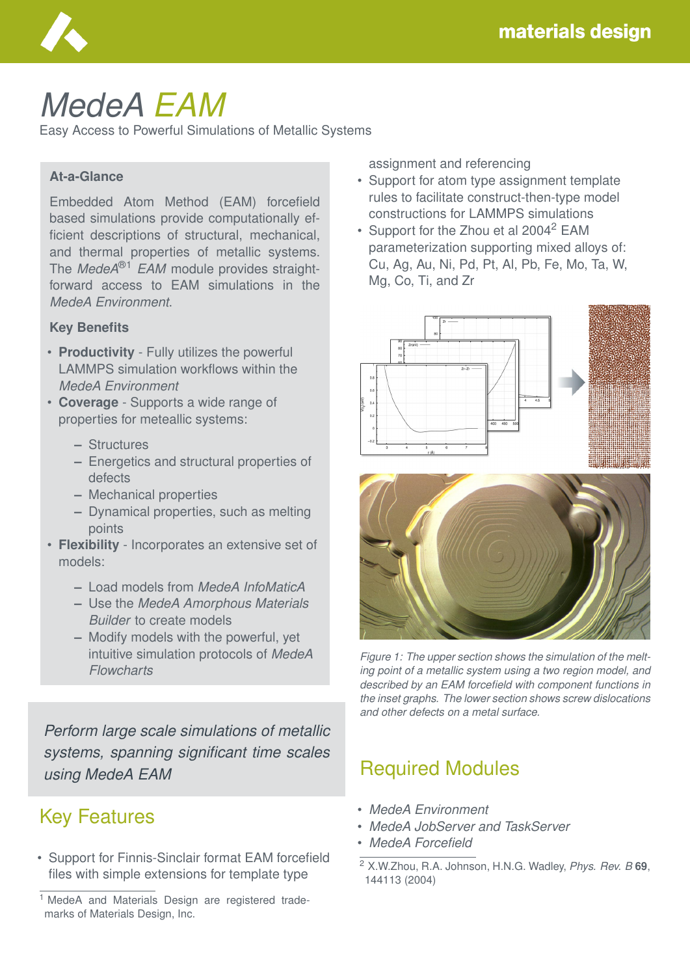

# *MedeA EAM*

Easy Access to Powerful Simulations of Metallic Systems

### **At-a-Glance**

Embedded Atom Method (EAM) forcefield based simulations provide computationally efficient descriptions of structural, mechanical, and thermal properties of metallic systems. The *MedeA*®1 *EAM* module provides straightforward access to EAM simulations in the *MedeA Environment*.

#### **Key Benefits**

- **Productivity** Fully utilizes the powerful LAMMPS simulation workflows within the *MedeA Environment*
- **Coverage** Supports a wide range of properties for meteallic systems:
	- **–** Structures
	- **–** Energetics and structural properties of defects
	- **–** Mechanical properties
	- **–** Dynamical properties, such as melting points
- **Flexibility** Incorporates an extensive set of models:
	- **–** Load models from *MedeA InfoMaticA*
	- **–** Use the *MedeA Amorphous Materials Builder* to create models
	- **–** Modify models with the powerful, yet intuitive simulation protocols of *MedeA Flowcharts*

*Perform large scale simulations of metallic systems, spanning significant time scales using MedeA EAM*

## Key Features

• Support for Finnis-Sinclair format EAM forcefield files with simple extensions for template type

assignment and referencing

- Support for atom type assignment template rules to facilitate construct-then-type model constructions for LAMMPS simulations
- Support for the Zhou et al 2004<sup>2</sup> EAM parameterization supporting mixed alloys of: Cu, Ag, Au, Ni, Pd, Pt, Al, Pb, Fe, Mo, Ta, W, Mg, Co, Ti, and Zr





*Figure 1: The upper section shows the simulation of the melting point of a metallic system using a two region model, and described by an EAM forcefield with component functions in the inset graphs. The lower section shows screw dislocations and other defects on a metal surface.*

## Required Modules

- *MedeA Environment*
- *MedeA JobServer and TaskServer*
- *MedeA Forcefield*

<sup>&</sup>lt;sup>1</sup> MedeA and Materials Design are registered trademarks of Materials Design, Inc.

<sup>2</sup> X.W.Zhou, R.A. Johnson, H.N.G. Wadley, *Phys. Rev. B* **69**, 144113 (2004)